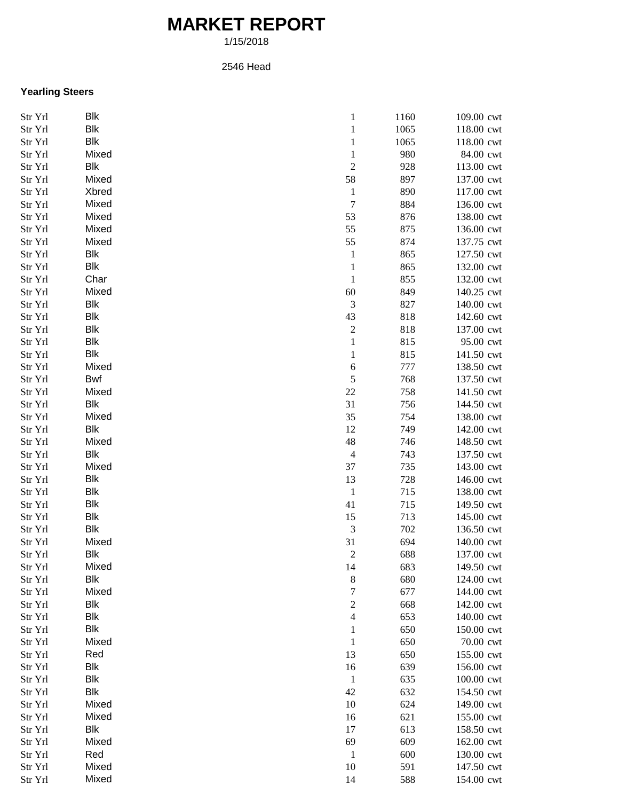## **MARKET REPORT**

1/15/2018

## 2546 Head

## **Yearling Steers**

| Str Yrl       | Blk        | $\mathbf{1}$             | 1160 | 109.00 cwt |
|---------------|------------|--------------------------|------|------------|
| Str Yrl       | Blk        | $\mathbf{1}$             | 1065 | 118.00 cwt |
| Str Yrl       | <b>Blk</b> | $\mathbf{1}$             | 1065 | 118.00 cwt |
| $\rm Str~Yrl$ | Mixed      | $\mathbf{1}$             | 980  | 84.00 cwt  |
| Str Yrl       | Blk        | $\sqrt{2}$               | 928  | 113.00 cwt |
| Str Yrl       | Mixed      | 58                       | 897  | 137.00 cwt |
| Str Yrl       | Xbred      | $\mathbf{1}$             | 890  | 117.00 cwt |
| Str Yrl       | Mixed      | $\boldsymbol{7}$         | 884  | 136.00 cwt |
| Str Yrl       | Mixed      | 53                       | 876  | 138.00 cwt |
| Str Yrl       | Mixed      | 55                       | 875  | 136.00 cwt |
| Str Yrl       | Mixed      | 55                       | 874  | 137.75 cwt |
| Str Yrl       | Blk        | $\mathbf{1}$             | 865  | 127.50 cwt |
| Str Yrl       | <b>Blk</b> | $\mathbf{1}$             | 865  | 132.00 cwt |
| Str Yrl       | Char       | $\mathbf{1}$             | 855  | 132.00 cwt |
| Str Yrl       | Mixed      | 60                       | 849  | 140.25 cwt |
| Str Yrl       | Blk        | $\mathfrak 3$            | 827  | 140.00 cwt |
| Str Yrl       | Blk        | 43                       | 818  | 142.60 cwt |
| Str Yrl       | Blk        | $\sqrt{2}$               | 818  | 137.00 cwt |
| Str Yrl       | Blk        | $\,1\,$                  | 815  | 95.00 cwt  |
|               | <b>Blk</b> | $\,1$                    | 815  |            |
| Str Yrl       | Mixed      |                          |      | 141.50 cwt |
| Str Yrl       |            | $\sqrt{6}$<br>$\sqrt{5}$ | 777  | 138.50 cwt |
| Str Yrl       | <b>Bwf</b> |                          | 768  | 137.50 cwt |
| Str Yrl       | Mixed      | $22\,$                   | 758  | 141.50 cwt |
| Str Yrl       | <b>Blk</b> | 31                       | 756  | 144.50 cwt |
| Str Yrl       | Mixed      | 35                       | 754  | 138.00 cwt |
| Str Yrl       | <b>Blk</b> | 12                       | 749  | 142.00 cwt |
| Str Yrl       | Mixed      | 48                       | 746  | 148.50 cwt |
| Str Yrl       | <b>Blk</b> | $\overline{4}$           | 743  | 137.50 cwt |
| Str Yrl       | Mixed      | 37                       | 735  | 143.00 cwt |
| Str Yrl       | <b>Blk</b> | 13                       | 728  | 146.00 cwt |
| Str Yrl       | <b>Blk</b> | $\mathbf{1}$             | 715  | 138.00 cwt |
| Str Yrl       | <b>Blk</b> | 41                       | 715  | 149.50 cwt |
| Str Yrl       | <b>Blk</b> | 15                       | 713  | 145.00 cwt |
| Str Yrl       | <b>Blk</b> | $\mathfrak 3$            | 702  | 136.50 cwt |
| Str Yrl       | Mixed      | 31                       | 694  | 140.00 cwt |
| Str Yrl       | <b>Blk</b> | $\boldsymbol{2}$         | 688  | 137.00 cwt |
| Str Yrl       | Mixed      | 14                       | 683  | 149.50 cwt |
| Str Yrl       | Blk        | $\,8\,$                  | 680  | 124.00 cwt |
| Str Yrl       | Mixed      | $\boldsymbol{7}$         | 677  | 144.00 cwt |
| Str Yrl       | <b>Blk</b> | $\sqrt{2}$               | 668  | 142.00 cwt |
| Str Yrl       | <b>Blk</b> | $\overline{4}$           | 653  | 140.00 cwt |
| Str Yrl       | <b>Blk</b> | $\mathbf{1}$             | 650  | 150.00 cwt |
| Str Yrl       | Mixed      | $\mathbf{1}$             | 650  | 70.00 cwt  |
| Str Yrl       | Red        | 13                       | 650  | 155.00 cwt |
| Str Yrl       | <b>Blk</b> | 16                       | 639  | 156.00 cwt |
| Str Yrl       | <b>Blk</b> | $\mathbf{1}$             | 635  | 100.00 cwt |
| Str Yrl       | <b>Blk</b> | 42                       | 632  | 154.50 cwt |
| Str Yrl       | Mixed      | 10                       | 624  | 149.00 cwt |
| Str Yrl       | Mixed      | 16                       | 621  | 155.00 cwt |
| Str Yrl       | <b>Blk</b> | 17                       | 613  | 158.50 cwt |
| Str Yrl       | Mixed      | 69                       | 609  | 162.00 cwt |
| Str Yrl       | Red        | $\mathbf{1}$             | 600  | 130.00 cwt |
| Str Yrl       | Mixed      | 10                       | 591  | 147.50 cwt |
| Str Yrl       | Mixed      | 14                       | 588  | 154.00 cwt |
|               |            |                          |      |            |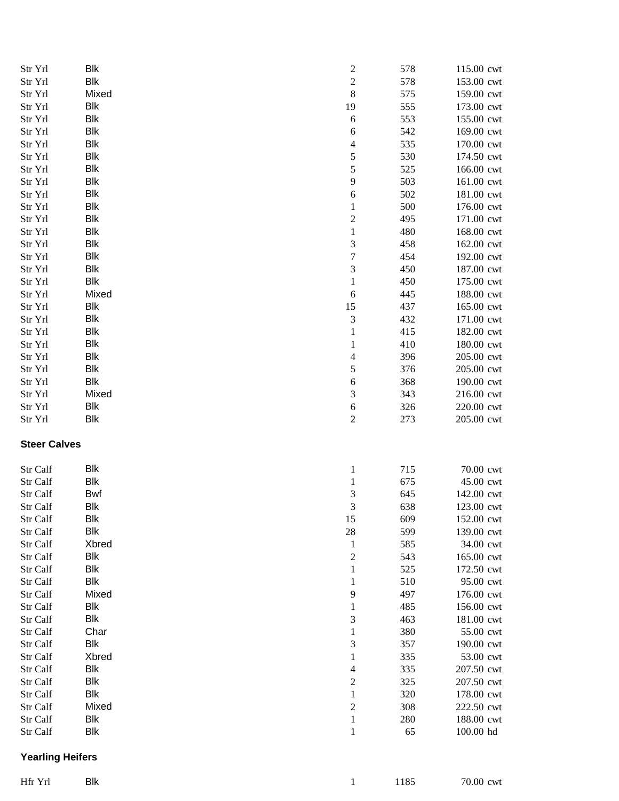| Str Yrl              | Blk                      | $\overline{c}$              | 578       | 115.00 cwt              |
|----------------------|--------------------------|-----------------------------|-----------|-------------------------|
| Str Yrl              | <b>Blk</b>               | $\overline{c}$              | 578       | 153.00 cwt              |
| Str Yrl              | Mixed                    | 8                           | 575       | 159.00 cwt              |
| Str Yrl              | <b>Blk</b>               | 19                          | 555       | 173.00 cwt              |
| Str Yrl              | <b>Blk</b>               | $\sqrt{6}$                  | 553       | 155.00 cwt              |
| Str Yrl              | Blk                      | 6                           | 542       | 169.00 cwt              |
| Str Yrl              | <b>Blk</b>               | $\overline{\mathcal{L}}$    | 535       | 170.00 cwt              |
| Str Yrl              | <b>Blk</b>               | 5                           | 530       | 174.50 cwt              |
| Str Yrl              | <b>Blk</b>               | 5                           | 525       | 166.00 cwt              |
| Str Yrl              | Blk                      | 9                           | 503       | 161.00 cwt              |
| Str Yrl              | Blk                      | 6                           | 502       | 181.00 cwt              |
| Str Yrl              | Blk                      | $\mathbf{1}$                | 500       | 176.00 cwt              |
| Str Yrl              | Blk                      | $\overline{c}$              | 495       | 171.00 cwt              |
| Str Yrl              | Blk                      | $\,1\,$                     | 480       | 168.00 cwt              |
| Str Yrl              | <b>Blk</b>               | $\mathfrak{Z}$              | 458       | 162.00 cwt              |
| Str Yrl              | <b>Blk</b>               | $\boldsymbol{7}$            | 454       | 192.00 cwt              |
| Str Yrl              | <b>Blk</b>               | $\overline{3}$              | 450       | 187.00 cwt              |
| Str Yrl              | <b>Blk</b>               | $\mathbf{1}$                | 450       | 175.00 cwt              |
| Str Yrl              | Mixed                    | 6                           | 445       | 188.00 cwt              |
| Str Yrl              | <b>Blk</b>               | 15                          | 437       | 165.00 cwt              |
|                      | <b>Blk</b>               | $\ensuremath{\mathfrak{Z}}$ | 432       |                         |
| Str Yrl              | <b>Blk</b>               |                             |           | 171.00 cwt              |
| Str Yrl              | Blk                      | $\mathbf{1}$                | 415       | 182.00 cwt              |
| Str Yrl              |                          | $\mathbf{1}$                | 410       | 180.00 cwt              |
| Str Yrl              | Blk<br><b>Blk</b>        | $\overline{4}$              | 396       | 205.00 cwt              |
| Str Yrl              | <b>Blk</b>               | 5                           | 376       | 205.00 cwt              |
| Str Yrl              |                          | 6                           | 368       | 190.00 cwt              |
| Str Yrl              | Mixed                    | $\ensuremath{\mathfrak{Z}}$ | 343       | 216.00 cwt              |
| Str Yrl              | <b>Blk</b><br><b>Blk</b> | $\boldsymbol{6}$            | 326       | 220.00 cwt              |
| Str Yrl              |                          | $\boldsymbol{2}$            | 273       | 205.00 cwt              |
| <b>Steer Calves</b>  |                          |                             |           |                         |
| Str Calf             | Blk                      | $\mathbf{1}$                | 715       | 70.00 cwt               |
| Str Calf             | <b>Blk</b>               | $\mathbf{1}$                | 675       | 45.00 cwt               |
| Str Calf             | <b>Bwf</b>               | $\mathfrak{Z}$              | 645       | 142.00 cwt              |
| Str Calf             | <b>Blk</b>               | 3                           | 638       | 123.00 cwt              |
| Str Calf             | Blk                      | 15                          | 609       | 152.00 cwt              |
| Str Calf             | Blk                      | $28\,$                      | 599       | 139.00 cwt              |
| Str Calf             | Xbred                    | $\mathbf{1}$                | 585       | 34.00 cwt               |
| Str Calf             | <b>Blk</b>               | $\boldsymbol{2}$            | 543       | 165.00 cwt              |
| Str Calf             | <b>Blk</b>               | 1                           | 525       | 172.50 cwt              |
| Str Calf             | <b>Blk</b>               | $\mathbf{1}$                | 510       | 95.00 cwt               |
| Str Calf             | Mixed                    | 9                           | 497       | 176.00 cwt              |
| Str Calf             | <b>Blk</b>               | $\mathbf{1}$                | 485       | 156.00 cwt              |
| Str Calf             | Blk                      | $\mathfrak{Z}$              | 463       | 181.00 cwt              |
| Str Calf             | Char                     | $\mathbf{1}$                | 380       | 55.00 cwt               |
| Str Calf             | <b>Blk</b>               | $\mathfrak{Z}$              | 357       | 190.00 cwt              |
| Str Calf             | Xbred                    | $\mathbf{1}$                | 335       | 53.00 cwt               |
| Str Calf             | Blk                      | $\overline{\mathcal{A}}$    | 335       | 207.50 cwt              |
|                      |                          | $\overline{c}$              | 325       | 207.50 cwt              |
|                      |                          |                             |           |                         |
| Str Calf             | <b>Blk</b>               |                             |           |                         |
| Str Calf             | Blk                      | $\,1\,$                     | 320       | 178.00 cwt              |
| Str Calf             | Mixed                    | $\sqrt{2}$                  | 308       | 222.50 cwt              |
| Str Calf<br>Str Calf | Blk<br>Blk               | $\mathbf 1$<br>$\mathbf{1}$ | 280<br>65 | 188.00 cwt<br>100.00 hd |

## **Yearling Heifers**

| Hfr Yrl Blk |  |  | 1 1185 70.00 cwt |
|-------------|--|--|------------------|
|             |  |  |                  |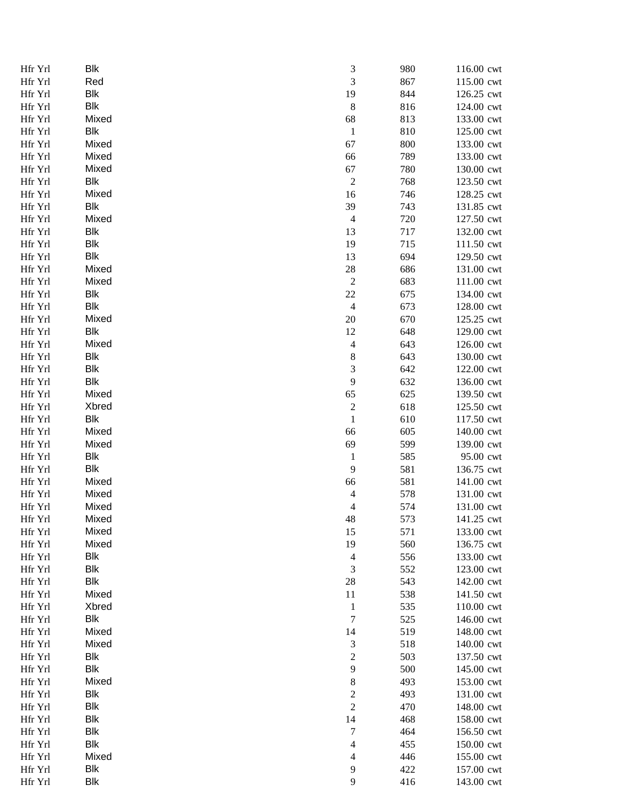| Hfr Yrl            | Blk        | 3                             | 980 | 116.00 cwt               |
|--------------------|------------|-------------------------------|-----|--------------------------|
| Hfr Yrl            | Red        | 3                             | 867 | 115.00 cwt               |
| Hfr Yrl            | Blk        | 19                            | 844 | 126.25 cwt               |
| Hfr Yrl            | <b>Blk</b> | $\,8\,$                       | 816 | 124.00 cwt               |
| Hfr Yrl            | Mixed      | 68                            | 813 | 133.00 cwt               |
| Hfr Yrl            | <b>Blk</b> | $\,1$                         | 810 | 125.00 cwt               |
| Hfr Yrl            | Mixed      | 67                            | 800 | 133.00 cwt               |
| Hfr Yrl            | Mixed      | 66                            | 789 | 133.00 cwt               |
| Hfr Yrl            | Mixed      | 67                            | 780 | 130.00 cwt               |
| Hfr Yrl            | Blk        | $\boldsymbol{2}$              | 768 | 123.50 cwt               |
| Hfr Yrl            | Mixed      | 16                            | 746 | 128.25 cwt               |
| Hfr Yrl            | <b>Blk</b> | 39                            | 743 | 131.85 cwt               |
| Hfr Yrl            | Mixed      | $\overline{4}$                | 720 | 127.50 cwt               |
| Hfr Yrl            | Blk        | 13                            | 717 | 132.00 cwt               |
| Hfr Yrl            | Blk        | 19                            | 715 | 111.50 cwt               |
| Hfr Yrl            | Blk        | 13                            | 694 | 129.50 cwt               |
| Hfr Yrl            | Mixed      | 28                            | 686 | 131.00 cwt               |
| Hfr Yrl            | Mixed      | $\overline{c}$                | 683 | 111.00 cwt               |
| Hfr Yrl            | Blk        | 22                            | 675 | 134.00 cwt               |
| Hfr Yrl            | <b>Blk</b> | $\overline{4}$                | 673 | 128.00 cwt               |
| Hfr Yrl            | Mixed      | 20                            | 670 | 125.25 cwt               |
| Hfr Yrl            | Blk        | 12                            | 648 | 129.00 cwt               |
| Hfr Yrl            | Mixed      | $\overline{\mathcal{A}}$      | 643 | 126.00 cwt               |
| Hfr Yrl            | Blk        | 8                             | 643 | 130.00 cwt               |
| Hfr Yrl            | <b>Blk</b> | 3                             | 642 | 122.00 cwt               |
| Hfr Yrl            | Blk        | 9                             | 632 | 136.00 cwt               |
| Hfr Yrl            | Mixed      | 65                            | 625 | 139.50 cwt               |
| Hfr Yrl            | Xbred      | $\sqrt{2}$                    | 618 | 125.50 cwt               |
| Hfr Yrl            | <b>Blk</b> | $\mathbf{1}$                  | 610 | 117.50 cwt               |
| Hfr Yrl            | Mixed      | 66                            | 605 | 140.00 cwt               |
| Hfr Yrl            | Mixed      | 69                            | 599 | 139.00 cwt               |
| Hfr Yrl            | <b>Blk</b> | $\mathbf{1}$                  | 585 | 95.00 cwt                |
| Hfr Yrl            | Blk        | 9                             | 581 | 136.75 cwt               |
| Hfr Yrl            | Mixed      | 66                            | 581 | 141.00 cwt               |
| Hfr Yrl            | Mixed      | $\overline{\mathcal{L}}$      | 578 | 131.00 cwt               |
| Hfr Yrl            | Mixed      | $\overline{4}$                | 574 | 131.00 cwt               |
| Hfr Yrl            | Mixed      | 48                            | 573 | 141.25 cwt               |
| Hfr Yrl            | Mixed      | 15                            | 571 | 133.00 cwt               |
| Hfr Yrl            | Mixed      | 19                            | 560 | 136.75 cwt               |
| Hfr Yrl            | Blk        | $\overline{4}$                | 556 | 133.00 cwt               |
| Hfr Yrl            | <b>Blk</b> | 3                             | 552 | 123.00 cwt               |
| Hfr Yrl            | <b>Blk</b> | 28                            | 543 | 142.00 cwt               |
| Hfr Yrl            | Mixed      | 11                            | 538 | 141.50 cwt               |
| Hfr Yrl            | Xbred      | $\mathbf{1}$                  | 535 | 110.00 cwt               |
| Hfr Yrl            | Blk        | $\boldsymbol{7}$              | 525 | 146.00 cwt               |
| Hfr Yrl            | Mixed      | 14                            | 519 | 148.00 cwt               |
| Hfr Yrl            | Mixed      | 3                             | 518 | 140.00 cwt               |
| Hfr Yrl            | <b>Blk</b> | $\overline{c}$                | 503 | 137.50 cwt               |
| Hfr Yrl            | Blk        | 9                             | 500 | 145.00 cwt               |
| Hfr Yrl            | Mixed      | 8                             | 493 | 153.00 cwt               |
| Hfr Yrl            | <b>Blk</b> | $\overline{c}$                | 493 | 131.00 cwt               |
| Hfr Yrl            | <b>Blk</b> | $\sqrt{2}$                    | 470 | 148.00 cwt               |
| Hfr Yrl            | Blk        | 14                            | 468 |                          |
|                    | <b>Blk</b> | $\boldsymbol{7}$              | 464 | 158.00 cwt               |
| Hfr Yrl            | <b>Blk</b> |                               | 455 | 156.50 cwt               |
| Hfr Yrl<br>Hfr Yrl | Mixed      | $\overline{\mathcal{A}}$<br>4 | 446 | 150.00 cwt               |
| Hfr Yrl            | Blk        | 9                             | 422 | 155.00 cwt               |
|                    | <b>Blk</b> | 9                             | 416 | 157.00 cwt<br>143.00 cwt |
| Hfr Yrl            |            |                               |     |                          |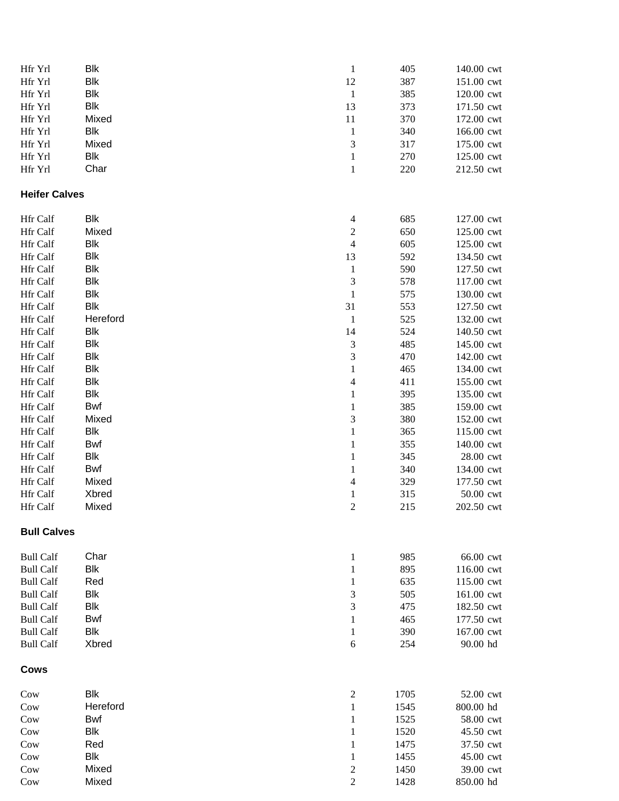| Hfr Yrl              | Blk        | $\mathbf{1}$             | 405  | 140.00 cwt |
|----------------------|------------|--------------------------|------|------------|
| Hfr Yrl              | <b>Blk</b> | 12                       | 387  | 151.00 cwt |
| Hfr Yrl              | <b>Blk</b> | $\mathbf{1}$             | 385  | 120.00 cwt |
| Hfr Yrl              | <b>Blk</b> | 13                       | 373  | 171.50 cwt |
| Hfr Yrl              | Mixed      | $11\,$                   | 370  | 172.00 cwt |
| Hfr Yrl              | <b>Blk</b> | $\mathbf{1}$             | 340  | 166.00 cwt |
| Hfr Yrl              | Mixed      | 3                        | 317  | 175.00 cwt |
| Hfr Yrl              | <b>Blk</b> | $\,1\,$                  | 270  | 125.00 cwt |
| Hfr Yrl              | Char       | $\,1\,$                  | 220  | 212.50 cwt |
| <b>Heifer Calves</b> |            |                          |      |            |
|                      |            |                          |      |            |
| Hfr Calf             | Blk        | $\overline{4}$           | 685  | 127.00 cwt |
| Hfr Calf             | Mixed      | $\sqrt{2}$               | 650  | 125.00 cwt |
| Hfr Calf             | Blk        | 4                        | 605  | 125.00 cwt |
| Hfr Calf             | <b>Blk</b> | 13                       | 592  | 134.50 cwt |
| Hfr Calf             | <b>Blk</b> | $\mathbf{1}$             | 590  | 127.50 cwt |
| Hfr Calf             | <b>Blk</b> | 3                        | 578  | 117.00 cwt |
| Hfr Calf             | <b>Blk</b> | $\,1\,$                  | 575  | 130.00 cwt |
| Hfr Calf             | Blk        | 31                       | 553  | 127.50 cwt |
| Hfr Calf             | Hereford   | $\mathbf{1}$             | 525  | 132.00 cwt |
| Hfr Calf             | <b>Blk</b> | 14                       | 524  | 140.50 cwt |
| Hfr Calf             | <b>Blk</b> | $\mathfrak{Z}$           | 485  | 145.00 cwt |
| Hfr Calf             | <b>Blk</b> | 3                        | 470  | 142.00 cwt |
| Hfr Calf             | <b>Blk</b> | $\,1$                    | 465  | 134.00 cwt |
| Hfr Calf             | Blk        | $\overline{\mathbf{4}}$  | 411  | 155.00 cwt |
| Hfr Calf             | Blk        | $\mathbf{1}$             | 395  | 135.00 cwt |
| Hfr Calf             | Bwf        | $\mathbf{1}$             | 385  | 159.00 cwt |
| Hfr Calf             | Mixed      | 3                        | 380  | 152.00 cwt |
| Hfr Calf             | Blk        | $\,1$                    | 365  | 115.00 cwt |
| Hfr Calf             | Bwf        | $\mathbf{1}$             | 355  | 140.00 cwt |
| Hfr Calf             | Blk        | $\mathbf{1}$             | 345  | 28.00 cwt  |
| Hfr Calf             | Bwf        | $\mathbf{1}$             | 340  | 134.00 cwt |
| Hfr Calf             | Mixed      | $\overline{\mathcal{A}}$ | 329  | 177.50 cwt |
| Hfr Calf             | Xbred      | $\mathbf{1}$             | 315  | 50.00 cwt  |
| Hfr Calf             | Mixed      | $\overline{c}$           | 215  | 202.50 cwt |
| <b>Bull Calves</b>   |            |                          |      |            |
|                      |            |                          |      |            |
| <b>Bull Calf</b>     | Char       | $\mathbf{1}$             | 985  | 66.00 cwt  |
| <b>Bull Calf</b>     | Blk        | $\mathbf{1}$             | 895  | 116.00 cwt |
| <b>Bull Calf</b>     | Red        | $\mathbf{1}$             | 635  | 115.00 cwt |
| <b>Bull Calf</b>     | Blk        | 3                        | 505  | 161.00 cwt |
| <b>Bull Calf</b>     | Blk        | 3                        | 475  | 182.50 cwt |
| <b>Bull Calf</b>     | Bwf        | $\mathbf{1}$             | 465  | 177.50 cwt |
| <b>Bull Calf</b>     | Blk        | $\mathbf{1}$             | 390  | 167.00 cwt |
| <b>Bull Calf</b>     | Xbred      | $\sqrt{6}$               | 254  | 90.00 hd   |
| Cows                 |            |                          |      |            |
| Cow                  | Blk        | $\overline{c}$           | 1705 | 52.00 cwt  |
| Cow                  | Hereford   | $\mathbf{1}$             | 1545 | 800.00 hd  |
| Cow                  | Bwf        | $\mathbf{1}$             | 1525 | 58.00 cwt  |
| Cow                  | Blk        | $\mathbf{1}$             | 1520 | 45.50 cwt  |
| Cow                  | Red        | $\mathbf{1}$             | 1475 | 37.50 cwt  |
| Cow                  | Blk        | $\mathbf{1}$             | 1455 | 45.00 cwt  |
| Cow                  | Mixed      | $\boldsymbol{2}$         | 1450 | 39.00 cwt  |
| Cow                  | Mixed      | $\overline{c}$           | 1428 | 850.00 hd  |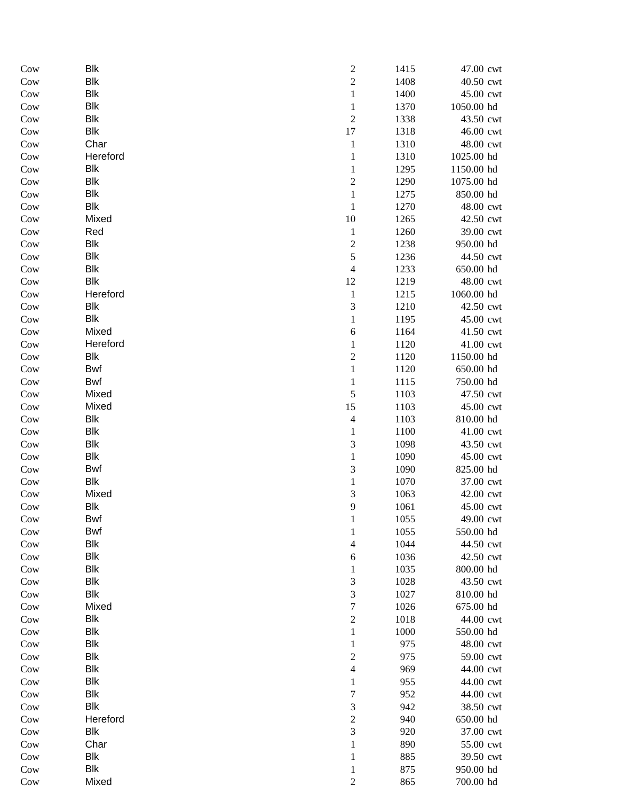| Cow        | <b>Blk</b>               | $\overline{c}$                | 1415         | 47.00 cwt              |
|------------|--------------------------|-------------------------------|--------------|------------------------|
| Cow        | <b>Blk</b>               | $\overline{c}$                | 1408         | 40.50 cwt              |
| Cow        | <b>Blk</b>               | $\,1\,$                       | 1400         | 45.00 cwt              |
| Cow        | <b>Blk</b>               | $\,1\,$                       | 1370         | 1050.00 hd             |
| Cow        | <b>Blk</b>               | $\sqrt{2}$                    | 1338         | 43.50 cwt              |
| Cow        | <b>Blk</b>               | 17                            | 1318         | 46.00 cwt              |
| Cow        | Char                     | $\mathbf{1}$                  | 1310         | 48.00 cwt              |
| Cow        | Hereford                 | $\mathbf{1}$                  | 1310         | 1025.00 hd             |
| Cow        | <b>Blk</b>               | $\mathbf{1}$                  | 1295         | 1150.00 hd             |
| Cow        | <b>Blk</b>               | $\overline{c}$                | 1290         | 1075.00 hd             |
| Cow        | <b>Blk</b>               | $\mathbf{1}$                  | 1275         | 850.00 hd              |
| Cow        | <b>Blk</b>               | $\mathbf{1}$                  | 1270         | 48.00 cwt              |
| Cow        | Mixed                    | 10                            | 1265         | 42.50 cwt              |
| Cow        | Red                      | $\mathbf{1}$                  | 1260         | 39.00 cwt              |
| Cow        | <b>Blk</b>               | $\boldsymbol{2}$              | 1238         | 950.00 hd              |
| Cow        | <b>Blk</b>               | 5                             | 1236         | 44.50 cwt              |
| Cow        | <b>Blk</b>               | $\overline{4}$                | 1233         | 650.00 hd              |
| Cow        | <b>Blk</b>               | 12                            | 1219         | 48.00 cwt              |
| Cow        | Hereford                 | $\mathbf{1}$                  | 1215         | 1060.00 hd             |
| Cow        | <b>Blk</b>               | $\overline{3}$                | 1210         | 42.50 cwt              |
| Cow        | <b>Blk</b>               | $\mathbf{1}$                  | 1195         | 45.00 cwt              |
| Cow        | Mixed                    | $\sqrt{6}$                    | 1164         | 41.50 cwt              |
| Cow        | Hereford                 | $\mathbf{1}$                  | 1120         | 41.00 cwt              |
| Cow        | <b>Blk</b>               | $\sqrt{2}$                    | 1120         | 1150.00 hd             |
| Cow        | Bwf                      | $\mathbf{1}$                  | 1120         | 650.00 hd              |
| Cow        | Bwf                      | $\mathbf{1}$                  | 1115         | 750.00 hd              |
| Cow        | Mixed                    | 5                             | 1103         | 47.50 cwt              |
| Cow        | Mixed                    | 15                            | 1103         | 45.00 cwt              |
| Cow        | <b>Blk</b>               | $\overline{4}$                | 1103         | 810.00 hd              |
| Cow        | <b>Blk</b>               | $\mathbf{1}$                  | 1100         | 41.00 cwt              |
| Cow        | <b>Blk</b><br><b>Blk</b> | 3                             | 1098         | 43.50 cwt              |
| Cow<br>Cow | Bwf                      | $\mathbf 1$<br>$\mathfrak{Z}$ | 1090<br>1090 | 45.00 cwt<br>825.00 hd |
| Cow        | <b>Blk</b>               | $\mathbf 1$                   | 1070         | 37.00 cwt              |
| Cow        | Mixed                    | 3                             | 1063         | 42.00 cwt              |
| Cow        | <b>Blk</b>               | 9                             | 1061         | 45.00 cwt              |
| Cow        | <b>Bwf</b>               | 1                             | 1055         | 49.00 cwt              |
| Cow        | <b>Bwf</b>               | 1                             | 1055         | 550.00 hd              |
| Cow        | <b>Blk</b>               | $\overline{4}$                | 1044         | 44.50 cwt              |
| Cow        | <b>Blk</b>               | 6                             | 1036         | 42.50 cwt              |
| Cow        | <b>Blk</b>               | $\mathbf{1}$                  | 1035         | 800.00 hd              |
| Cow        | <b>Blk</b>               | $\mathfrak{Z}$                | 1028         | 43.50 cwt              |
| Cow        | <b>Blk</b>               | 3                             | 1027         | 810.00 hd              |
| Cow        | Mixed                    | $\boldsymbol{7}$              | 1026         | 675.00 hd              |
| Cow        | <b>Blk</b>               | $\sqrt{2}$                    | 1018         | 44.00 cwt              |
| Cow        | <b>Blk</b>               | $\mathbf{1}$                  | 1000         | 550.00 hd              |
| Cow        | <b>Blk</b>               | $\mathbf{1}$                  | 975          | 48.00 cwt              |
| Cow        | <b>Blk</b>               | $\overline{c}$                | 975          | 59.00 cwt              |
| Cow        | <b>Blk</b>               | $\overline{4}$                | 969          | 44.00 cwt              |
| Cow        | <b>Blk</b>               | $\mathbf{1}$                  | 955          | 44.00 cwt              |
| Cow        | <b>Blk</b>               | $\boldsymbol{7}$              | 952          | 44.00 cwt              |
| Cow        | <b>Blk</b>               | $\mathfrak{Z}$                | 942          | 38.50 cwt              |
| Cow        | Hereford                 | $\overline{c}$                | 940          | 650.00 hd              |
| Cow        | <b>Blk</b>               | $\overline{3}$                | 920          | 37.00 cwt              |
| Cow        | Char                     | $\mathbf{1}$                  | 890          | 55.00 cwt              |
| Cow        | <b>Blk</b>               | 1                             | 885          | 39.50 cwt              |
| Cow        | <b>Blk</b>               | 1                             | 875          | 950.00 hd              |
| Cow        | Mixed                    | $\boldsymbol{2}$              | 865          | 700.00 hd              |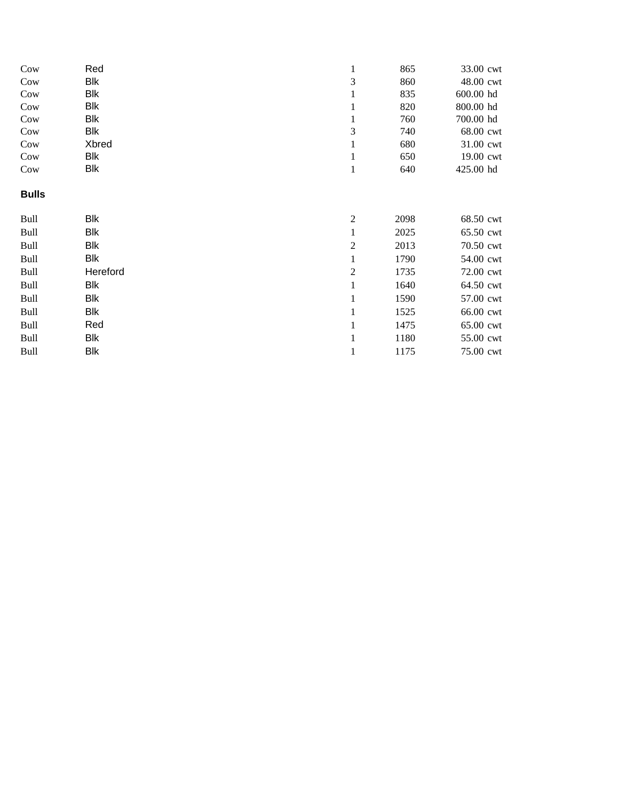| Cow          | Red        |                | 865  | 33.00 cwt |
|--------------|------------|----------------|------|-----------|
| Cow          | Blk        | 3              | 860  | 48.00 cwt |
| Cow          | Blk        |                | 835  | 600.00 hd |
| Cow          | Blk        |                | 820  | 800.00 hd |
| Cow          | Blk        |                | 760  | 700.00 hd |
| Cow          | <b>Blk</b> | 3              | 740  | 68.00 cwt |
| Cow          | Xbred      |                | 680  | 31.00 cwt |
| Cow          | Blk        |                | 650  | 19.00 cwt |
| Cow          | Blk        | $\mathbf{1}$   | 640  | 425.00 hd |
| <b>Bulls</b> |            |                |      |           |
| Bull         | Blk        | $\overline{2}$ | 2098 | 68.50 cwt |
| Bull         | Blk        | $\mathbf{1}$   | 2025 | 65.50 cwt |
| Bull         | Blk        | 2              | 2013 | 70.50 cwt |
| Bull         | Blk        | 1              | 1790 | 54.00 cwt |
| Bull         | Hereford   | $\mathfrak{2}$ | 1735 | 72.00 cwt |
| Bull         | Blk        | 1              | 1640 | 64.50 cwt |
| Bull         | Blk        | 1              | 1590 | 57.00 cwt |
| Bull         | Blk        | 1              | 1525 | 66.00 cwt |
| Bull         | Red        |                | 1475 | 65.00 cwt |
| Bull         | Blk        |                | 1180 | 55.00 cwt |
| Bull         | Blk        | 1              | 1175 | 75.00 cwt |